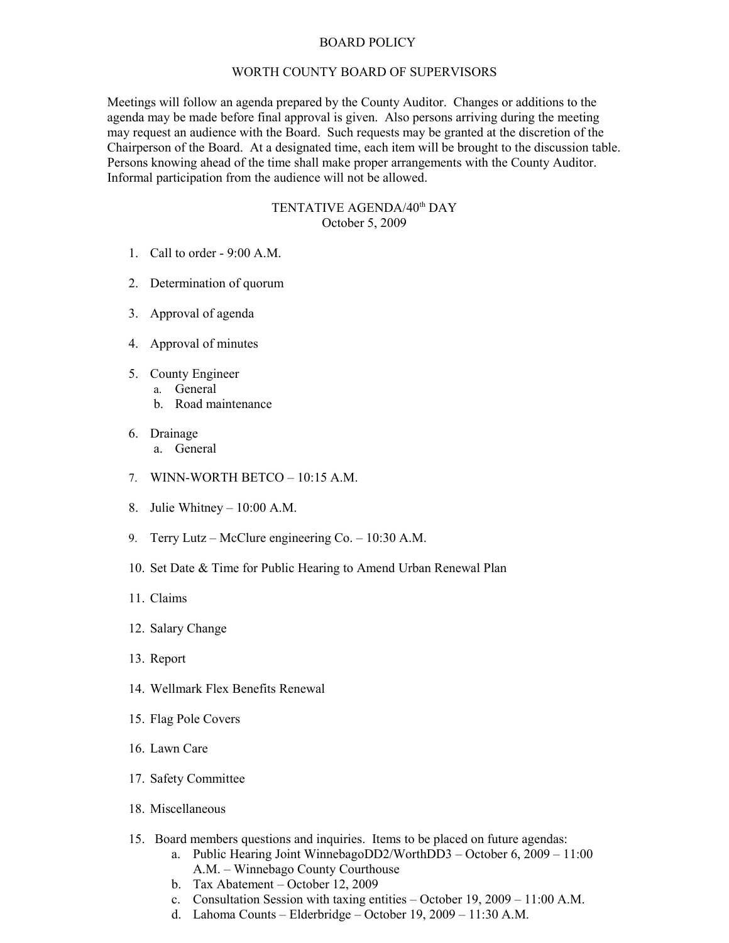## BOARD POLICY

## WORTH COUNTY BOARD OF SUPERVISORS

Meetings will follow an agenda prepared by the County Auditor. Changes or additions to the agenda may be made before final approval is given. Also persons arriving during the meeting may request an audience with the Board. Such requests may be granted at the discretion of the Chairperson of the Board. At a designated time, each item will be brought to the discussion table. Persons knowing ahead of the time shall make proper arrangements with the County Auditor. Informal participation from the audience will not be allowed.

## TENTATIVE AGENDA/40<sup>th</sup> DAY October 5, 2009

- 1. Call to order 9:00 A.M.
- 2. Determination of quorum
- 3. Approval of agenda
- 4. Approval of minutes
- 5. County Engineer
	- a. General
	- b. Road maintenance
- 6. Drainage
	- a. General
- 7. WINN-WORTH BETCO 10:15 A.M.
- 8. Julie Whitney 10:00 A.M.
- 9. Terry Lutz McClure engineering Co. 10:30 A.M.
- 10. Set Date & Time for Public Hearing to Amend Urban Renewal Plan
- 11. Claims
- 12. Salary Change
- 13. Report
- 14. Wellmark Flex Benefits Renewal
- 15. Flag Pole Covers
- 16. Lawn Care
- 17. Safety Committee
- 18. Miscellaneous
- 15. Board members questions and inquiries. Items to be placed on future agendas:
	- a. Public Hearing Joint WinnebagoDD2/WorthDD3 October 6, 2009 11:00 A.M. – Winnebago County Courthouse
	- b. Tax Abatement October 12, 2009
	- c. Consultation Session with taxing entities October 19, 2009 11:00 A.M.
	- d. Lahoma Counts Elderbridge October 19, 2009 11:30 A.M.